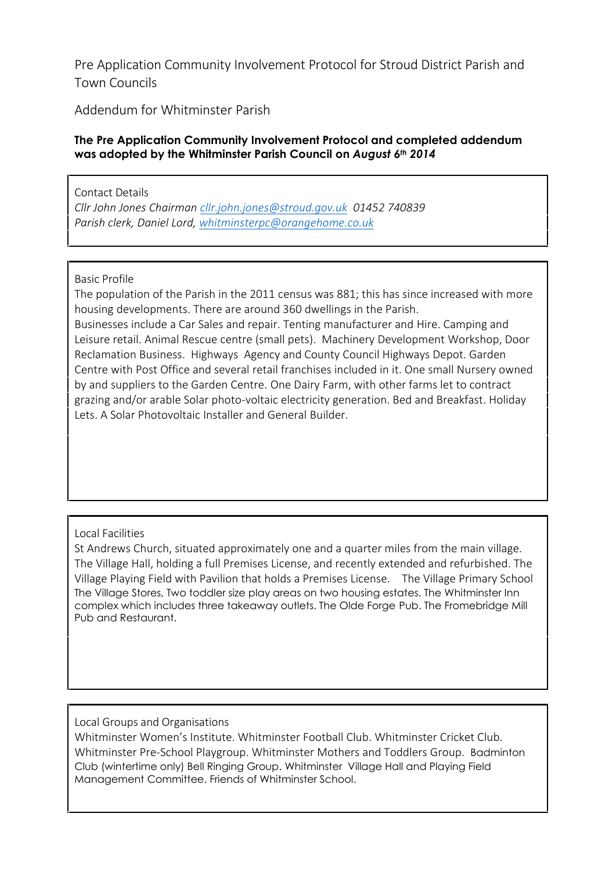**Pre Application Community Involvement Protocol for Stroud District Parish and Town Councils**

**Addendum for Whitminster Parish**

## **The Pre Application Community Involvement Protocol and completed addendum was adopted by the Whitminster Parish Council on** *August 6th 2014*

**Contact Details** *Cllr John Jones Chairman cllr.john.jones@stroud.gov.uk 01452 740839 Parish clerk, Daniel Lord, whitminsterpc@orangehome.co.uk*

## **Basic Profile**

The population of the Parish in the 2011 census was 881; this has since increased with more housing developments. There are around 360 dwellings in the Parish.

Businesses include a Car Sales and repair. Tenting manufacturer and Hire. Camping and Leisure retail. Animal Rescue centre (small pets). Machinery Development Workshop, Door Reclamation Business. Highways Agency and County Council Highways Depot. Garden Centre with Post Office and several retail franchises included in it. One small Nursery owned by and suppliers to the Garden Centre. One Dairy Farm, with other farms let to contract grazing and/or arable Solar photo-voltaic electricity generation. Bed and Breakfast. Holiday Lets. A Solar Photovoltaic Installer and General Builder.

## **Local Facilities**

St Andrews Church, situated approximately one and a quarter miles from the main village. The Village Hall, holding a full Premises License, and recently extended and refurbished. The Village Playing Field with Pavilion that holds a Premises License. The Village Primary School The Village Stores, Two toddler size play areas on two housing estates. The Whitminster Inn complex which includes three takeaway outlets. The Olde Forge Pub. The Fromebridge Mill Pub and Restaurant.

**Local Groups and Organisations**

Whitminster Women's Institute. Whitminster Football Club. Whitminster Cricket Club. Whitminster Pre-School Playgroup. Whitminster Mothers and Toddlers Group. Badminton Club (wintertime only) Bell Ringing Group. Whitminster Village Hall and Playing Field Management Committee. Friends of Whitminster School.